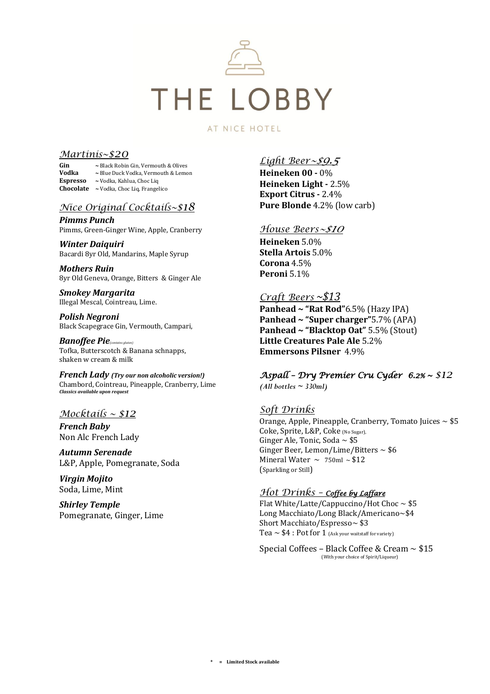

## **AT NICE HOTEL**

# *Martinis~\$20*

Gin ~ Black Robin Gin, Vermouth & Olives<br>Vodka ~ Blue Duck Vodka, Vermouth & Lemo **Vodka ~** Blue Duck Vodka, Vermouth & Lemon **Espresso ~** Vodka, Kahlua, Choc Liq **Chocolate ~** Vodka, Choc Liq, Frangelico

# *Nice Original Cocktails~\$18*

*Pimms Punch* Pimms, Green-Ginger Wine, Apple, Cranberry

*Winter Daiquiri* Bacardi 8yr Old, Mandarins, Maple Syrup

*Mothers Ruin* 8yr Old Geneva, Orange, Bitters & Ginger Ale

*Smokey Margarita* Illegal Mescal, Cointreau, Lime.

*Polish Negroni* Black Scapegrace Gin, Vermouth, Campari,

*Banoffee Pie(contains gluten)* Tofka, Butterscotch & Banana schnapps, shaken w cream & milk

*French Lady (Try our non alcoholic version!)* Chambord, Cointreau, Pineapple, Cranberry, Lime *Classics available upon request*

# *Mocktails ~ \$12*

*French Baby* Non Alc French Lady

*Autumn Serenade* L&P, Apple, Pomegranate, Soda

*Virgin Mojito* Soda, Lime, Mint

*Shirley Temple* Pomegranate, Ginger, Lime

# *Light Beer~\$9.5*

**Heineken 00 -** 0% **Heineken Light -** 2.5% **Export Citrus -** 2.4% **Pure Blonde** 4.2% (low carb)

# *House Beers~\$10*

**Heineken** 5.0% **Stella Artois** 5.0% **Corona** 4.5% **Peroni** 5.1%

# *Craft Beers ~\$13*

**Panhead ~ "Rat Rod"**6.5% (Hazy IPA) **Panhead ~ "Super charger"**5.7% (APA) **Panhead ~ "Blacktop Oat"** 5.5% (Stout) **Little Creatures Pale Ale** 5.2% **Emmersons Pilsner** 4.9%

# *Aspall – Dry Premier Cru Cyder 6.2% ~ \$12*

*(All bottles ~ 330ml)* 

# *Soft Drinks*

Orange, Apple, Pineapple, Cranberry, Tomato Juices  $\sim$  \$5 Coke, Sprite, L&P, Coke (No Sugar), Ginger Ale, Tonic, Soda  $\sim$  \$5 Ginger Beer, Lemon/Lime/Bitters ~ \$6 Mineral Water  $\sim 750$ ml ~ \$12 (Sparkling or Still)

# *Hot Drinks – Coffee by Laffare*

Flat White/Latte/Cappuccino/Hot Choc  $\sim$  \$5 Long Macchiato/Long Black/Americano~\$4 Short Macchiato/Espresso~ \$3 Tea  $\sim$  \$4 : Pot for 1 (Ask your waitstaff for variety)

Special Coffees – Black Coffee & Cream  $\sim$  \$15 (With your choice of Spirit/Liqueur)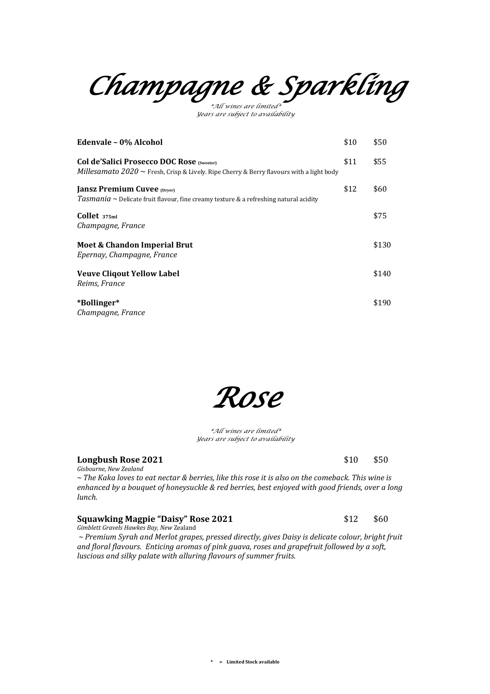*Champagne & Sparkling* 

*\*All wines are limited\* Years are subject to availability*

| Edenvale - 0% Alcohol                                                                                                                             | \$10 | \$50  |
|---------------------------------------------------------------------------------------------------------------------------------------------------|------|-------|
| <b>Col de'Salici Prosecco DOC Rose</b> (Sweeter)<br>Millesamato $2020 \sim$ Fresh, Crisp & Lively. Ripe Cherry & Berry flavours with a light body | \$11 | \$55  |
| <b>Jansz Premium Cuvee</b> (Dryer)<br>Tasmania $\sim$ Delicate fruit flavour, fine creamy texture & a refreshing natural acidity                  | \$12 | \$60  |
| Collect <sub>375ml</sub><br>Champagne, France                                                                                                     |      | \$75  |
| Moet & Chandon Imperial Brut<br>Epernay, Champagne, France                                                                                        |      | \$130 |
| <b>Veuve Cliqout Yellow Label</b><br>Reims, France                                                                                                |      | \$140 |
| *Bollinger*<br>Champagne, France                                                                                                                  |      | \$190 |

*\*All wines are limited\* Years are subject to availability*

**Longbush Rose 2021**  $$10$  \$50

*Gisbourne, New Zealand ~ The Kaka loves to eat nectar & berries, like this rose it is also on the comeback. This wine is enhanced by a bouquet of honeysuckle & red berries, best enjoyed with good friends, over a long lunch.*

### **Squawking Magpie "Daisy" Rose 2021** \$12 \$60 *Gimblett Gravels Hawkes Bay, New* Zealand

*~ Premium Syrah and Merlot grapes, pressed directly, gives Daisy is delicate colour, bright fruit and floral flavours. Enticing aromas of pink guava, roses and grapefruit followed by a soft, luscious and silky palate with alluring flavours of summer fruits.*

# *Rose*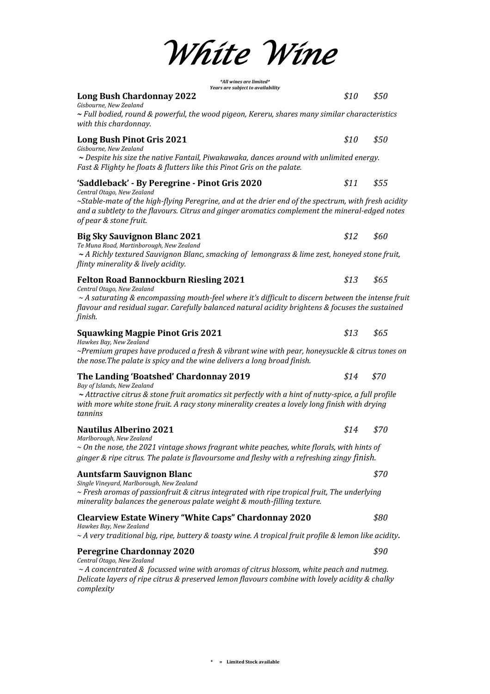| <i>White Wine</i>                                                                                                                                                                                                                                                   |      |      |  |  |  |
|---------------------------------------------------------------------------------------------------------------------------------------------------------------------------------------------------------------------------------------------------------------------|------|------|--|--|--|
| *All wines are limited*<br>Years are subject to availability                                                                                                                                                                                                        |      |      |  |  |  |
| <b>Long Bush Chardonnay 2022</b><br>Gisbourne, New Zealand                                                                                                                                                                                                          | \$10 | \$50 |  |  |  |
| $\sim$ Full bodied, round & powerful, the wood pigeon, Kereru, shares many similar characteristics<br>with this chardonnay.                                                                                                                                         |      |      |  |  |  |
| Long Bush Pinot Gris 2021                                                                                                                                                                                                                                           | \$10 | \$50 |  |  |  |
| Gisbourne, New Zealand<br>$\sim$ Despite his size the native Fantail, Piwakawaka, dances around with unlimited energy.<br>Fast & Flighty he floats & flutters like this Pinot Gris on the palate.                                                                   |      |      |  |  |  |
| 'Saddleback' - By Peregrine - Pinot Gris 2020                                                                                                                                                                                                                       | \$11 | \$55 |  |  |  |
| Central Otago, New Zealand<br>$\sim$ Stable-mate of the high-flying Peregrine, and at the drier end of the spectrum, with fresh acidity<br>and a subtlety to the flavours. Citrus and ginger aromatics complement the mineral-edged notes<br>of pear & stone fruit. |      |      |  |  |  |
| <b>Big Sky Sauvignon Blanc 2021</b>                                                                                                                                                                                                                                 | \$12 | \$60 |  |  |  |
| Te Muna Road, Martinborough, New Zealand<br>$\sim$ A Richly textured Sauvignon Blanc, smacking of lemongrass & lime zest, honeyed stone fruit,<br>flinty minerality & lively acidity.                                                                               |      |      |  |  |  |
| <b>Felton Road Bannockburn Riesling 2021</b>                                                                                                                                                                                                                        | \$13 | \$65 |  |  |  |
| Central Otago, New Zealand<br>$\sim$ A saturating & encompassing mouth-feel where it's difficult to discern between the intense fruit<br>flavour and residual sugar. Carefully balanced natural acidity brightens & focuses the sustained<br>finish.                |      |      |  |  |  |
| <b>Squawking Magpie Pinot Gris 2021</b>                                                                                                                                                                                                                             | \$13 | \$65 |  |  |  |
| Hawkes Bay, New Zealand<br>$\sim$ Premium grapes have produced a fresh & vibrant wine with pear, honeysuckle & citrus tones on<br>the nose. The palate is spicy and the wine delivers a long broad finish.                                                          |      |      |  |  |  |
| The Landing 'Boatshed' Chardonnay 2019                                                                                                                                                                                                                              | \$14 | \$70 |  |  |  |
| Bay of Islands, New Zealand<br>$\sim$ Attractive citrus & stone fruit aromatics sit perfectly with a hint of nutty-spice, a full profile<br>with more white stone fruit. A racy stony minerality creates a lovely long finish with drying<br>tannins                |      |      |  |  |  |
| <b>Nautilus Alberino 2021</b>                                                                                                                                                                                                                                       | \$14 | \$70 |  |  |  |
| Marlborough, New Zealand<br>$\sim$ On the nose, the 2021 vintage shows fragrant white peaches, white florals, with hints of<br>ginger & ripe citrus. The palate is flavoursome and fleshy with a refreshing zingy finish.                                           |      |      |  |  |  |
| <b>Auntsfarm Sauvignon Blanc</b>                                                                                                                                                                                                                                    |      | \$70 |  |  |  |
| Single Vineyard, Marlborough, New Zealand<br>$\sim$ Fresh aromas of passionfruit & citrus integrated with ripe tropical fruit, The underlying<br>minerality balances the generous palate weight & mouth-filling texture.                                            |      |      |  |  |  |
| <b>Clearview Estate Winery "White Caps" Chardonnay 2020</b><br>Hawkes Bay, New Zealand                                                                                                                                                                              |      | \$80 |  |  |  |
| $\sim$ A very traditional big, ripe, buttery & toasty wine. A tropical fruit profile & lemon like acidity.                                                                                                                                                          |      |      |  |  |  |
| <b>Peregrine Chardonnay 2020</b><br>Central Otago, New Zealand                                                                                                                                                                                                      |      | \$90 |  |  |  |
| $\sim$ A concentrated & focussed wine with aromas of citrus blossom, white peach and nutmeg.<br>Delicate layers of ripe citrus & preserved lemon flavours combine with lovely acidity & chalky                                                                      |      |      |  |  |  |

*complexity*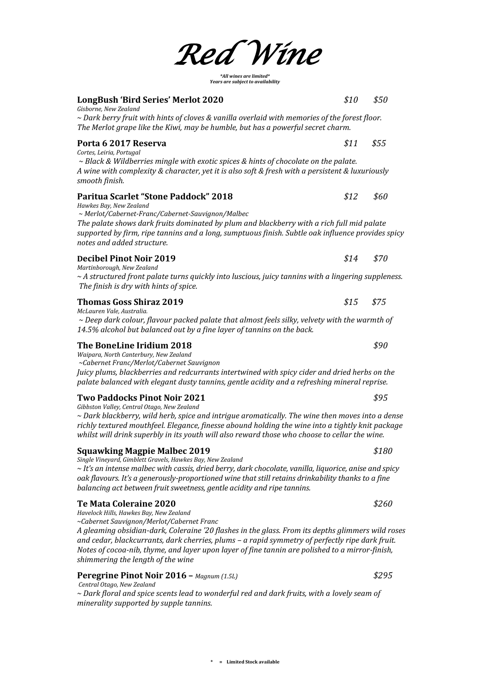| <b>LongBush 'Bird Series' Merlot 2020</b><br>Gisborne, New Zealand                                                                                                                                                                                                                                                                                         | \$10 | \$50  |
|------------------------------------------------------------------------------------------------------------------------------------------------------------------------------------------------------------------------------------------------------------------------------------------------------------------------------------------------------------|------|-------|
| $\sim$ Dark berry fruit with hints of cloves & vanilla overlaid with memories of the forest floor.<br>The Merlot grape like the Kiwi, may be humble, but has a powerful secret charm.                                                                                                                                                                      |      |       |
| Porta 6 2017 Reserva                                                                                                                                                                                                                                                                                                                                       | \$11 | \$55  |
| Cortes, Leiria, Portugal<br>$\sim$ Black & Wildberries mingle with exotic spices & hints of chocolate on the palate.<br>A wine with complexity & character, yet it is also soft & fresh with a persistent & luxuriously<br>smooth finish.                                                                                                                  |      |       |
| Paritua Scarlet "Stone Paddock" 2018<br>Hawkes Bay, New Zealand<br>~ Merlot/Cabernet-Franc/Cabernet-Sauvignon/Malbec<br>The palate shows dark fruits dominated by plum and blackberry with a rich full mid palate<br>supported by firm, ripe tannins and a long, sumptuous finish. Subtle oak influence provides spicy<br>notes and added structure.       | \$12 | \$60  |
| <b>Decibel Pinot Noir 2019</b>                                                                                                                                                                                                                                                                                                                             | \$14 | \$70  |
| Martinborough, New Zealand<br>$\sim$ A structured front palate turns quickly into luscious, juicy tannins with a lingering suppleness.<br>The finish is dry with hints of spice.                                                                                                                                                                           |      |       |
| <b>Thomas Goss Shiraz 2019</b>                                                                                                                                                                                                                                                                                                                             | \$15 | \$75  |
| McLauren Vale, Australia.<br>$\sim$ Deep dark colour, flavour packed palate that almost feels silky, velvety with the warmth of<br>14.5% alcohol but balanced out by a fine layer of tannins on the back.                                                                                                                                                  |      |       |
| The BoneLine Iridium 2018<br>Waipara, North Canterbury, New Zealand<br>~Cabernet Franc/Merlot/Cabernet Sauvignon                                                                                                                                                                                                                                           |      | \$90  |
| Juicy plums, blackberries and redcurrants intertwined with spicy cider and dried herbs on the<br>palate balanced with elegant dusty tannins, gentle acidity and a refreshing mineral reprise.                                                                                                                                                              |      |       |
| <b>Two Paddocks Pinot Noir 2021</b>                                                                                                                                                                                                                                                                                                                        |      | \$95  |
| Gibbston Valley, Central Otago, New Zealand<br>$\sim$ Dark blackberry, wild herb, spice and intrigue aromatically. The wine then moves into a dense<br>richly textured mouthfeel. Elegance, finesse abound holding the wine into a tightly knit package<br>whilst will drink superbly in its youth will also reward those who choose to cellar the wine.   |      |       |
| <b>Squawking Magpie Malbec 2019</b>                                                                                                                                                                                                                                                                                                                        |      | \$180 |
| Single Vineyard, Gimblett Gravels, Hawkes Bay, New Zealand<br>$\sim$ It's an intense malbec with cassis, dried berry, dark chocolate, vanilla, liquorice, anise and spicy<br>oak flavours. It's a generously-proportioned wine that still retains drinkability thanks to a fine<br>balancing act between fruit sweetness, gentle acidity and ripe tannins. |      |       |

# **Te Mata Coleraine 2020** *\$260*

*Havelock Hills, Hawkes Bay, New Zealand*

*~Cabernet Sauvignon/Merlot/Cabernet Franc*

*A gleaming obsidian-dark, Coleraine '20 flashes in the glass. From its depths glimmers wild roses and cedar, blackcurrants, dark cherries, plums – a rapid symmetry of perfectly ripe dark fruit. Notes of cocoa-nib, thyme, and layer upon layer of fine tannin are polished to a mirror-finish, shimmering the length of the wine*

# **Peregrine Pinot Noir 2016 –** *Magnum (1.5L) \$295*

*Central Otago, New Zealand*

*~ Dark floral and spice scents lead to wonderful red and dark fruits, with a lovely seam of minerality supported by supple tannins.*



*\*All wines are limited\* Years are subject to availability*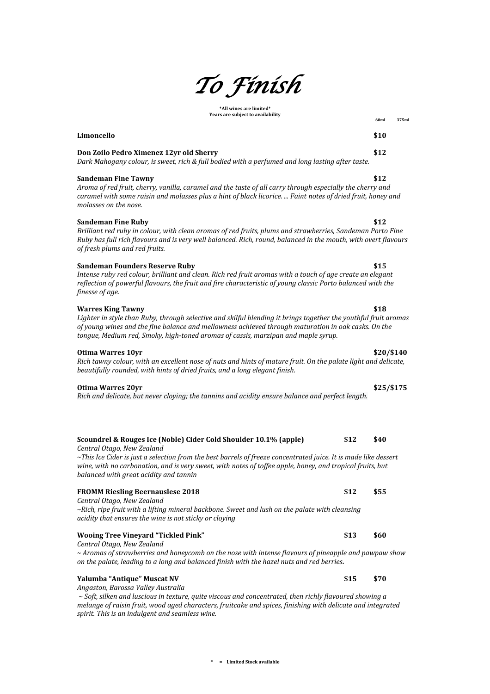# *To Finish*

### **\*All wines are limited\* Years are subject to availability**

# **Limoncello \$10 Don Zoilo Pedro Ximenez 12yr old Sherry \$12** *Dark Mahogany colour, is sweet, rich & full bodied with a perfumed and long lasting after taste.*

### **Sandeman Fine Tawny \$12**

*Aroma of red fruit, cherry, vanilla, caramel and the taste of all carry through especially the cherry and caramel with some raisin and molasses plus a hint of black licorice. ... Faint notes of dried fruit, honey and molasses on the nose.*

### **Sandeman Fine Ruby \$12**

*Brilliant red ruby in colour, with clean aromas of red fruits, plums and strawberries, Sandeman Porto Fine Ruby has full rich flavours and is very well balanced. Rich, round, balanced in the mouth, with overt flavours of fresh plums and red fruits.*

### **Sandeman Founders Reserve Ruby \$15**

*Intense ruby red colour, brilliant and clean. Rich red fruit aromas with a touch of age create an elegant reflection of powerful flavours, the fruit and fire characteristic of young classic Porto balanced with the finesse of age.*

### **Warres King Tawny \$18**

*Lighter in style than Ruby, through selective and skilful blending it brings together the youthful fruit aromas of young wines and the fine balance and mellowness achieved through maturation in oak casks. On the tongue, Medium red, Smoky, high-toned aromas of cassis, marzipan and maple syrup.*

### **Otima Warres 10yr \$20/\$140**

*Rich tawny colour, with an excellent nose of nuts and hints of mature fruit. On the palate light and delicate, beautifully rounded, with hints of dried fruits, and a long elegant finish.*

### **Otima Warres 20yr \$25/\$175**

*Rich and delicate, but never cloying; the tannins and acidity ensure balance and perfect length.*

## **Scoundrel & Rouges Ice (Noble) Cider Cold Shoulder 10.1% (apple) \$12 \$40** *Central Otago, New Zealand ~This Ice Cider is just a selection from the best barrels of freeze concentrated juice. It is made like dessert wine, with no carbonation, and is very sweet, with notes of toffee apple, honey, and tropical fruits, but balanced with great acidity and tannin* **FROMM Riesling Beernauslese 2018 \$12 \$55** *Central Otago, New Zealand ~Rich, ripe fruit with a lifting mineral backbone. Sweet and lush on the palate with cleansing acidity that ensures the wine is not sticky or cloying* **Wooing Tree Vineyard "Tickled Pink" \$13 \$60** *Central Otago, New Zealand ~ Aromas of strawberries and honeycomb on the nose with intense flavours of pineapple and pawpaw show on the palate, leading to a long and balanced finish with the hazel nuts and red berries.* **Yalumba "Antique" Muscat NV \$15 \$70**

*Angaston, Barossa Valley Australia*

*~ Soft, silken and luscious in texture, quite viscous and concentrated, then richly flavoured showing a melange of raisin fruit, wood aged characters, fruitcake and spices, finishing with delicate and integrated spirit. This is an indulgent and seamless wine.*

 **60ml 375ml**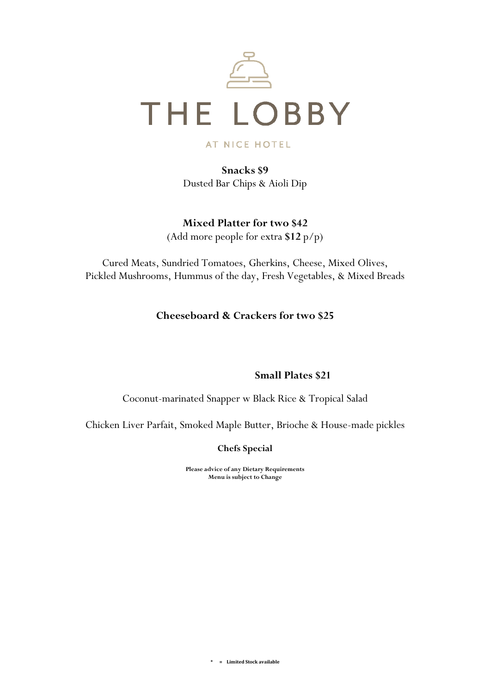

AT NICE HOTEL

**Snacks \$9** Dusted Bar Chips & Aioli Dip

**Mixed Platter for two \$42**

(Add more people for extra **\$12** p/p)

Cured Meats, Sundried Tomatoes, Gherkins, Cheese, Mixed Olives, Pickled Mushrooms, Hummus of the day, Fresh Vegetables, & Mixed Breads

**Cheeseboard & Crackers for two \$25**

**Small Plates \$21**

Coconut-marinated Snapper w Black Rice & Tropical Salad

Chicken Liver Parfait, Smoked Maple Butter, Brioche & House-made pickles

**Chefs Special**

**Please advice of any Dietary Requirements Menu is subject to Change**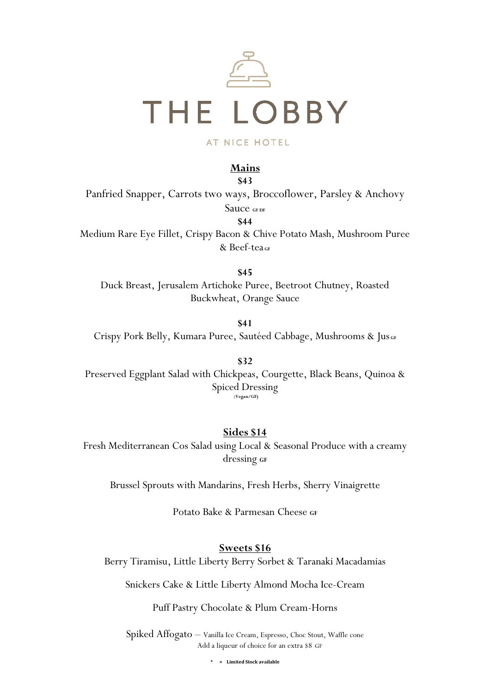

# AT NICE HOTEL

# **Mains**

**\$43**

Panfried Snapper, Carrots two ways, Broccoflower, Parsley & Anchovy

Sauce GFDF

**\$44**

Medium Rare Eye Fillet, Crispy Bacon & Chive Potato Mash, Mushroom Puree & Beef-tea **GF**

**\$45**

Duck Breast, Jerusalem Artichoke Puree, Beetroot Chutney, Roasted Buckwheat, Orange Sauce

**\$41**

Crispy Pork Belly, Kumara Puree, Sautéed Cabbage, Mushrooms & Jus **GF**

**\$32** Preserved Eggplant Salad with Chickpeas, Courgette, Black Beans, Quinoa & Spiced Dressing (**Vegan/GF)**

# **Sides \$14**

Fresh Mediterranean Cos Salad using Local & Seasonal Produce with a creamy dressing **GF** 

Brussel Sprouts with Mandarins, Fresh Herbs, Sherry Vinaigrette

Potato Bake & Parmesan Cheese **GF** 

### **Sweets \$16**

Berry Tiramisu, Little Liberty Berry Sorbet & Taranaki Macadamias

Snickers Cake & Little Liberty Almond Mocha Ice-Cream

### Puff Pastry Chocolate & Plum Cream-Horns

Spiked Affogato – Vanilla Ice Cream, Espresso, Choc Stout, Waffle cone Add a liqueur of choice for an extra \$8 GF

**\* = Limited Stock available**